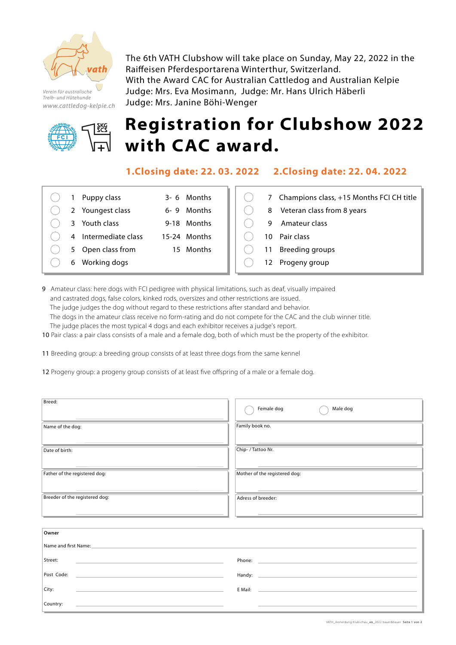

Verein für australische Treib- und Hütehunde www.cattledog-kelpie.ch



## Judge: Mrs. Janine Böhi-Wenger **Registration for Clubshow 2022 with CAC award.**

The 6th VATH Clubshow will take place on Sunday, May 22, 2022 in the

With the Award CAC for Australian Cattledog and Australian Kelpie

Raiffeisen Pferdesportarena Winterthur, Switzerland.

Judge: Mrs. Eva Mosimann, Judge: Mr. Hans Ulrich Häberli

**1.Closing date: 22. 03. 2022 2.Closing date: 22. 04. 2022**

|  | 1 Puppy class        | 3-6 Months   |
|--|----------------------|--------------|
|  | 2 Youngest class     | 6-9 Months   |
|  | 3 Youth class        | 9-18 Months  |
|  | 4 Intermediate class | 15-24 Months |
|  | 5 Open class from    | 15 Months    |
|  | 6 Working dogs       |              |

|   | 7 Champions class, +15 Months FCI CH title |
|---|--------------------------------------------|
|   | 8 Veteran class from 8 years               |
| g | Amateur class                              |
|   | 10 Pair class                              |
|   | 11 Breeding groups                         |
|   | 12 Progeny group                           |
|   |                                            |

9 Amateur class: here dogs with FCI pedigree with physical limitations, such as deaf, visually impaired and castrated dogs, false colors, kinked rods, oversizes and other restrictions are issued. The judge judges the dog without regard to these restrictions after standard and behavior. The dogs in the amateur class receive no form-rating and do not compete for the CAC and the club winner title. The judge places the most typical 4 dogs and each exhibitor receives a judge's report.

10 Pair class: a pair class consists of a male and a female dog, both of which must be the property of the exhibitor.

11 Breeding group: a breeding group consists of at least three dogs from the same kennel

12 Progeny group: a progeny group consists of at least five offspring of a male or a female dog.

| Breed:<br><u> La componente de la componente de la componente de la componente de la componente de la componente de la compo</u>                                                                                                              | Female dog<br>Male dog<br>the control of the control of the control of the control of the control of the control of the control of the control of the control of the control of the control of the control of the control of the control of the control |  |  |
|-----------------------------------------------------------------------------------------------------------------------------------------------------------------------------------------------------------------------------------------------|---------------------------------------------------------------------------------------------------------------------------------------------------------------------------------------------------------------------------------------------------------|--|--|
| Name of the dog:<br><u> 1989 - Jan Sterner van die Sterne van die Sterne van die Sterne van die Sterne van die Sterne van die Sterne</u>                                                                                                      | Family book no.<br><u> La componente de la componente de la componente de la componente de la componente de la componente de la compo</u>                                                                                                               |  |  |
| Date of birth:                                                                                                                                                                                                                                | Chip- / Tattoo Nr.<br><u> Andreas Andreas Andreas Andreas Andreas Andreas Andreas Andreas Andreas Andreas Andreas Andreas Andreas Andreas</u>                                                                                                           |  |  |
| Father of the registered dog:<br><u> Andreas Andreas Andreas Andreas Andreas Andreas Andreas Andreas Andreas Andreas Andreas Andreas Andreas Andr</u>                                                                                         | Mother of the registered dog:<br><u> Andreas Andreas Andreas Andreas Andreas Andreas Andreas Andreas Andreas Andreas Andreas Andreas Andreas Andr</u>                                                                                                   |  |  |
| Breeder of the registered dog:<br><u> 1980 - Jan Samuel Barbara, martin da shekara tsara 1980 - An tsara 1980 - An tsara 1980 - An tsara 1980 - An</u>                                                                                        | Adress of breeder:                                                                                                                                                                                                                                      |  |  |
|                                                                                                                                                                                                                                               |                                                                                                                                                                                                                                                         |  |  |
| Owner                                                                                                                                                                                                                                         |                                                                                                                                                                                                                                                         |  |  |
| Name and first Name:                                                                                                                                                                                                                          |                                                                                                                                                                                                                                                         |  |  |
| Street:                                                                                                                                                                                                                                       | Phone: The contract of the contract of the contract of the contract of the contract of the contract of the contract of the contract of the contract of the contract of the contract of the contract of the contract of the con                          |  |  |
| Post Code:                                                                                                                                                                                                                                    |                                                                                                                                                                                                                                                         |  |  |
| City:<br><u>and the state of the state of the state of the state of the state of the state of the state of the state of the state of the state of the state of the state of the state of the state of the state of the state of the state</u> | E Mail: <u>Communication of the Communication</u>                                                                                                                                                                                                       |  |  |
| Country:                                                                                                                                                                                                                                      |                                                                                                                                                                                                                                                         |  |  |